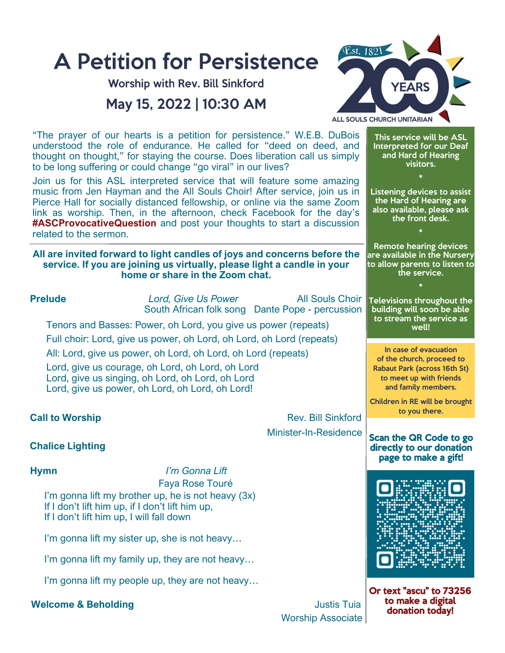

Worship Associate

to make a digital donation today!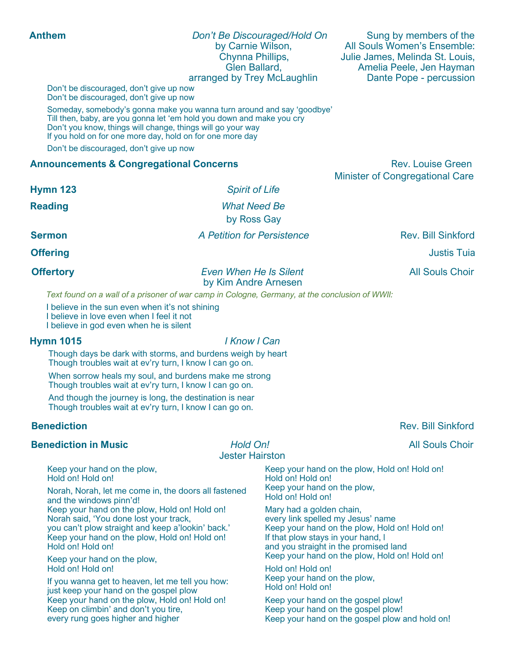| <b>Anthem</b>                                                                                                                                                                                                                                                               |                                                                                            | Don't Be Discouraged/Hold On<br>by Carnie Wilson,<br>Chynna Phillips,<br>Glen Ballard,<br>arranged by Trey McLaughlin                                                                                                                          | Sung by members of the<br>All Souls Women's Ensemble:<br>Julie James, Melinda St. Louis,<br>Amelia Peele, Jen Hayman<br>Dante Pope - percussion |
|-----------------------------------------------------------------------------------------------------------------------------------------------------------------------------------------------------------------------------------------------------------------------------|--------------------------------------------------------------------------------------------|------------------------------------------------------------------------------------------------------------------------------------------------------------------------------------------------------------------------------------------------|-------------------------------------------------------------------------------------------------------------------------------------------------|
| Don't be discouraged, don't give up now<br>Don't be discouraged, don't give up now                                                                                                                                                                                          |                                                                                            |                                                                                                                                                                                                                                                |                                                                                                                                                 |
| Someday, somebody's gonna make you wanna turn around and say 'goodbye'<br>Till then, baby, are you gonna let 'em hold you down and make you cry<br>Don't you know, things will change, things will go your way<br>If you hold on for one more day, hold on for one more day |                                                                                            |                                                                                                                                                                                                                                                |                                                                                                                                                 |
| Don't be discouraged, don't give up now                                                                                                                                                                                                                                     |                                                                                            |                                                                                                                                                                                                                                                |                                                                                                                                                 |
| <b>Announcements &amp; Congregational Concerns</b>                                                                                                                                                                                                                          |                                                                                            |                                                                                                                                                                                                                                                | <b>Rev. Louise Green</b>                                                                                                                        |
|                                                                                                                                                                                                                                                                             |                                                                                            |                                                                                                                                                                                                                                                | <b>Minister of Congregational Care</b>                                                                                                          |
| <b>Hymn 123</b>                                                                                                                                                                                                                                                             | <b>Spirit of Life</b>                                                                      |                                                                                                                                                                                                                                                |                                                                                                                                                 |
| <b>Reading</b>                                                                                                                                                                                                                                                              | <b>What Need Be</b><br>by Ross Gay                                                         |                                                                                                                                                                                                                                                |                                                                                                                                                 |
| <b>Sermon</b>                                                                                                                                                                                                                                                               | A Petition for Persistence                                                                 |                                                                                                                                                                                                                                                | <b>Rev. Bill Sinkford</b>                                                                                                                       |
| <b>Offering</b>                                                                                                                                                                                                                                                             |                                                                                            |                                                                                                                                                                                                                                                | <b>Justis Tuia</b>                                                                                                                              |
| <b>Offertory</b>                                                                                                                                                                                                                                                            | <b>Even When He Is Silent</b><br>by Kim Andre Arnesen                                      |                                                                                                                                                                                                                                                | <b>All Souls Choir</b>                                                                                                                          |
| Text found on a wall of a prisoner of war camp in Cologne, Germany, at the conclusion of WWII:                                                                                                                                                                              |                                                                                            |                                                                                                                                                                                                                                                |                                                                                                                                                 |
| I believe in the sun even when it's not shining<br>I believe in love even when I feel it not<br>I believe in god even when he is silent                                                                                                                                     |                                                                                            |                                                                                                                                                                                                                                                |                                                                                                                                                 |
| I Know I Can<br><b>Hymn 1015</b>                                                                                                                                                                                                                                            |                                                                                            |                                                                                                                                                                                                                                                |                                                                                                                                                 |
| Though days be dark with storms, and burdens weigh by heart<br>Though troubles wait at ev'ry turn, I know I can go on.                                                                                                                                                      |                                                                                            |                                                                                                                                                                                                                                                |                                                                                                                                                 |
| When sorrow heals my soul, and burdens make me strong<br>Though troubles wait at ev'ry turn, I know I can go on.                                                                                                                                                            |                                                                                            |                                                                                                                                                                                                                                                |                                                                                                                                                 |
| And though the journey is long, the destination is near<br>Though troubles wait at ev'ry turn, I know I can go on.                                                                                                                                                          |                                                                                            |                                                                                                                                                                                                                                                |                                                                                                                                                 |
| <b>Benediction</b>                                                                                                                                                                                                                                                          |                                                                                            |                                                                                                                                                                                                                                                | <b>Rev. Bill Sinkford</b>                                                                                                                       |
| <b>Benediction in Music</b>                                                                                                                                                                                                                                                 | Hold On!<br><b>Jester Hairston</b>                                                         |                                                                                                                                                                                                                                                | <b>All Souls Choir</b>                                                                                                                          |
| Keep your hand on the plow,<br>Hold on! Hold on!<br>Norah, Norah, let me come in, the doors all fastened                                                                                                                                                                    | Hold on! Hold on!<br>Keep your hand on the plow,<br>Hold on! Hold on!                      |                                                                                                                                                                                                                                                | Keep your hand on the plow, Hold on! Hold on!                                                                                                   |
| and the windows pinn'd!<br>Keep your hand on the plow, Hold on! Hold on!<br>Norah said, 'You done lost your track,<br>you can't plow straight and keep a'lookin' back.'<br>Keep your hand on the plow, Hold on! Hold on!<br>Hold on! Hold on!                               |                                                                                            | Mary had a golden chain,<br>every link spelled my Jesus' name<br>Keep your hand on the plow, Hold on! Hold on!<br>If that plow stays in your hand, I<br>and you straight in the promised land<br>Keep your hand on the plow, Hold on! Hold on! |                                                                                                                                                 |
| Keep your hand on the plow,<br>Hold on! Hold on!                                                                                                                                                                                                                            | If you wanna get to heaven, let me tell you how:<br>ivet koon your hand on the goesel plaw |                                                                                                                                                                                                                                                | Keep your hand on the plow,                                                                                                                     |

just keep your hand on the gospel plow Keep your hand on the plow, Hold on! Hold on! Keep on climbin' and don't you tire, every rung goes higher and higher

Keep your hand on the gospel plow! Keep your hand on the gospel plow! Keep your hand on the gospel plow and hold on!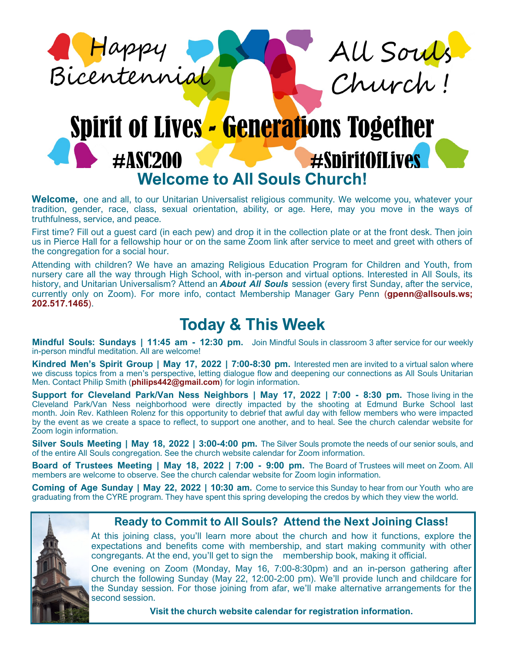



# **Spirit of Lives - Generations Together #SniritOfLives** #ASC200 **Welcome to All Souls Church!**

Welcome, one and all, to our Unitarian Universalist religious community. We welcome you, whatever your tradition, gender, race, class, sexual orientation, ability, or age. Here, may you move in the ways of truthfulness, service, and peace.

First time? Fill out a guest card (in each pew) and drop it in the collection plate or at the front desk. Then join us in Pierce Hall for a fellowship hour or on the same Zoom link after service to meet and greet with others of the congregation for a social hour.

Attending with children? We have an amazing Religious Education Program for Children and Youth, from nursery care all the way through High School, with in-person and virtual options. Interested in All Souls, its history, and Unitarian Universalism? Attend an *About All Souls* session (every first Sunday, after the service, currently only on Zoom). For more info, contact Membership Manager Gary Penn (**gpenn@allsouls.ws; 202.517.1465**).

# **Today & This Week**

**Mindful Souls: Sundays | 11:45 am - 12:30 pm.** Join Mindful Souls in classroom 3 after service for our weekly in-person mindful meditation. All are welcome!

**Kindred Men's Spirit Group | May 17, 2022 | 7:00-8:30 pm.** Interested men are invited to a virtual salon where we discuss topics from a men's perspective, letting dialogue flow and deepening our connections as All Souls Unitarian Men. Contact Philip Smith (**philips442@gmail.com**) for login information.

**Support for Cleveland Park/Van Ness Neighbors | May 17, 2022 | 7:00 - 8:30 pm.** Those living in the Cleveland Park/Van Ness neighborhood were directly impacted by the shooting at Edmund Burke School last month. Join Rev. Kathleen Rolenz for this opportunity to debrief that awful day with fellow members who were impacted by the event as we create a space to reflect, to support one another, and to heal. See the church calendar website for Zoom login information.

**Silver Souls Meeting | May 18, 2022 | 3:00-4:00 pm.** The Silver Souls promote the needs of our senior souls, and of the entire All Souls congregation. See the church website calendar for Zoom information.

**Board of Trustees Meeting | May 18, 2022 | 7:00 - 9:00 pm.** The Board of Trustees will meet on Zoom. All members are welcome to observe. See the church calendar website for Zoom login information.

**Coming of Age Sunday | May 22, 2022 | 10:30 am.** Come to service this Sunday to hear from our Youth who are graduating from the CYRE program. They have spent this spring developing the credos by which they view the world.



### **Ready to Commit to All Souls? Attend the Next Joining Class!**

At this joining class, you'll learn more about the church and how it functions, explore the expectations and benefits come with membership, and start making community with other congregants. At the end, you'll get to sign the membership book, making it official.

One evening on Zoom (Monday, May 16, 7:00-8:30pm) and an in-person gathering after church the following Sunday (May 22, 12:00-2:00 pm). We'll provide lunch and childcare for the Sunday session. For those joining from afar, we'll make alternative arrangements for the second session.

**Visit the church website calendar for registration information.**